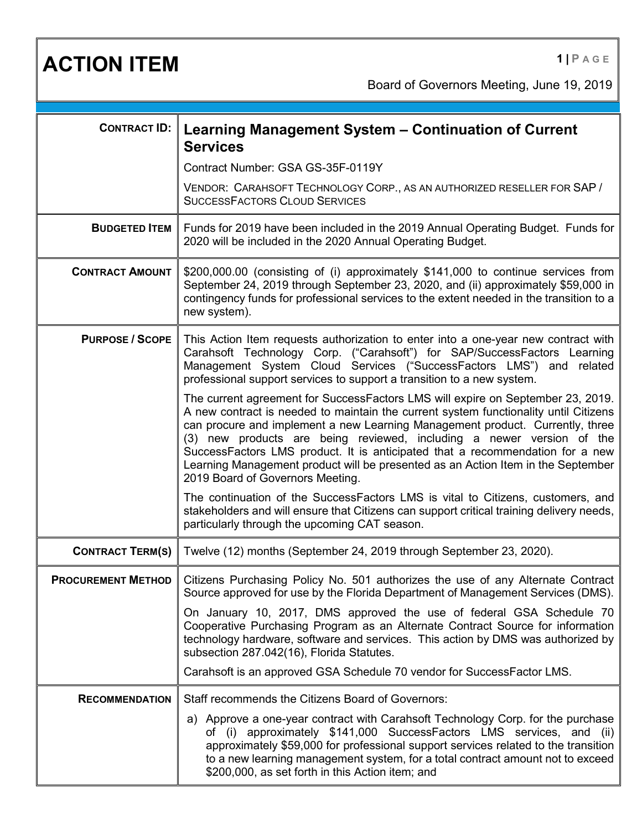**ACTION ITEM 1 PAGE** 

Board of Governors Meeting, June 19, 2019

| <b>CONTRACT ID:</b>     | Learning Management System - Continuation of Current<br><b>Services</b>                                                                                                                                                                                                                                                                                                                                                                                                                                                                    |
|-------------------------|--------------------------------------------------------------------------------------------------------------------------------------------------------------------------------------------------------------------------------------------------------------------------------------------------------------------------------------------------------------------------------------------------------------------------------------------------------------------------------------------------------------------------------------------|
|                         | Contract Number: GSA GS-35F-0119Y                                                                                                                                                                                                                                                                                                                                                                                                                                                                                                          |
|                         | VENDOR: CARAHSOFT TECHNOLOGY CORP., AS AN AUTHORIZED RESELLER FOR SAP /<br><b>SUCCESSFACTORS CLOUD SERVICES</b>                                                                                                                                                                                                                                                                                                                                                                                                                            |
| <b>BUDGETED ITEM</b>    | Funds for 2019 have been included in the 2019 Annual Operating Budget. Funds for<br>2020 will be included in the 2020 Annual Operating Budget.                                                                                                                                                                                                                                                                                                                                                                                             |
| <b>CONTRACT AMOUNT</b>  | \$200,000.00 (consisting of (i) approximately \$141,000 to continue services from<br>September 24, 2019 through September 23, 2020, and (ii) approximately \$59,000 in<br>contingency funds for professional services to the extent needed in the transition to a<br>new system).                                                                                                                                                                                                                                                          |
| <b>PURPOSE / SCOPE</b>  | This Action Item requests authorization to enter into a one-year new contract with<br>Carahsoft Technology Corp. ("Carahsoft") for SAP/SuccessFactors Learning<br>Management System Cloud Services ("SuccessFactors LMS") and related<br>professional support services to support a transition to a new system.                                                                                                                                                                                                                            |
|                         | The current agreement for SuccessFactors LMS will expire on September 23, 2019.<br>A new contract is needed to maintain the current system functionality until Citizens<br>can procure and implement a new Learning Management product. Currently, three<br>(3) new products are being reviewed, including a newer version of the<br>SuccessFactors LMS product. It is anticipated that a recommendation for a new<br>Learning Management product will be presented as an Action Item in the September<br>2019 Board of Governors Meeting. |
|                         | The continuation of the SuccessFactors LMS is vital to Citizens, customers, and<br>stakeholders and will ensure that Citizens can support critical training delivery needs,<br>particularly through the upcoming CAT season.                                                                                                                                                                                                                                                                                                               |
| <b>CONTRACT TERM(S)</b> | Twelve (12) months (September 24, 2019 through September 23, 2020).                                                                                                                                                                                                                                                                                                                                                                                                                                                                        |
|                         | PROCUREMENT METHOD   Citizens Purchasing Policy No. 501 authorizes the use of any Alternate Contract<br>Source approved for use by the Florida Department of Management Services (DMS).                                                                                                                                                                                                                                                                                                                                                    |
|                         | On January 10, 2017, DMS approved the use of federal GSA Schedule 70<br>Cooperative Purchasing Program as an Alternate Contract Source for information<br>technology hardware, software and services. This action by DMS was authorized by<br>subsection 287.042(16), Florida Statutes.                                                                                                                                                                                                                                                    |
|                         | Carahsoft is an approved GSA Schedule 70 vendor for SuccessFactor LMS.                                                                                                                                                                                                                                                                                                                                                                                                                                                                     |
| <b>RECOMMENDATION</b>   | Staff recommends the Citizens Board of Governors:                                                                                                                                                                                                                                                                                                                                                                                                                                                                                          |
|                         | a) Approve a one-year contract with Carahsoft Technology Corp. for the purchase<br>of (i) approximately \$141,000 SuccessFactors LMS services, and (ii)<br>approximately \$59,000 for professional support services related to the transition<br>to a new learning management system, for a total contract amount not to exceed<br>\$200,000, as set forth in this Action item; and                                                                                                                                                        |